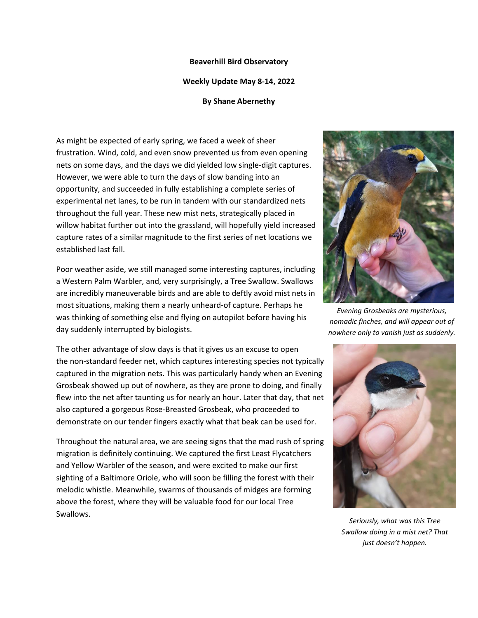## **Beaverhill Bird Observatory**

## **Weekly Update May 8-14, 2022**

## **By Shane Abernethy**

As might be expected of early spring, we faced a week of sheer frustration. Wind, cold, and even snow prevented us from even opening nets on some days, and the days we did yielded low single-digit captures. However, we were able to turn the days of slow banding into an opportunity, and succeeded in fully establishing a complete series of experimental net lanes, to be run in tandem with our standardized nets throughout the full year. These new mist nets, strategically placed in willow habitat further out into the grassland, will hopefully yield increased capture rates of a similar magnitude to the first series of net locations we established last fall.

Poor weather aside, we still managed some interesting captures, including a Western Palm Warbler, and, very surprisingly, a Tree Swallow. Swallows are incredibly maneuverable birds and are able to deftly avoid mist nets in most situations, making them a nearly unheard-of capture. Perhaps he was thinking of something else and flying on autopilot before having his day suddenly interrupted by biologists.

The other advantage of slow days is that it gives us an excuse to open the non-standard feeder net, which captures interesting species not typically captured in the migration nets. This was particularly handy when an Evening Grosbeak showed up out of nowhere, as they are prone to doing, and finally flew into the net after taunting us for nearly an hour. Later that day, that net also captured a gorgeous Rose-Breasted Grosbeak, who proceeded to demonstrate on our tender fingers exactly what that beak can be used for.

Throughout the natural area, we are seeing signs that the mad rush of spring migration is definitely continuing. We captured the first Least Flycatchers and Yellow Warbler of the season, and were excited to make our first sighting of a Baltimore Oriole, who will soon be filling the forest with their melodic whistle. Meanwhile, swarms of thousands of midges are forming above the forest, where they will be valuable food for our local Tree Swallows.



*Evening Grosbeaks are mysterious, nomadic finches, and will appear out of nowhere only to vanish just as suddenly.*



*Seriously, what was this Tree Swallow doing in a mist net? That just doesn't happen.*